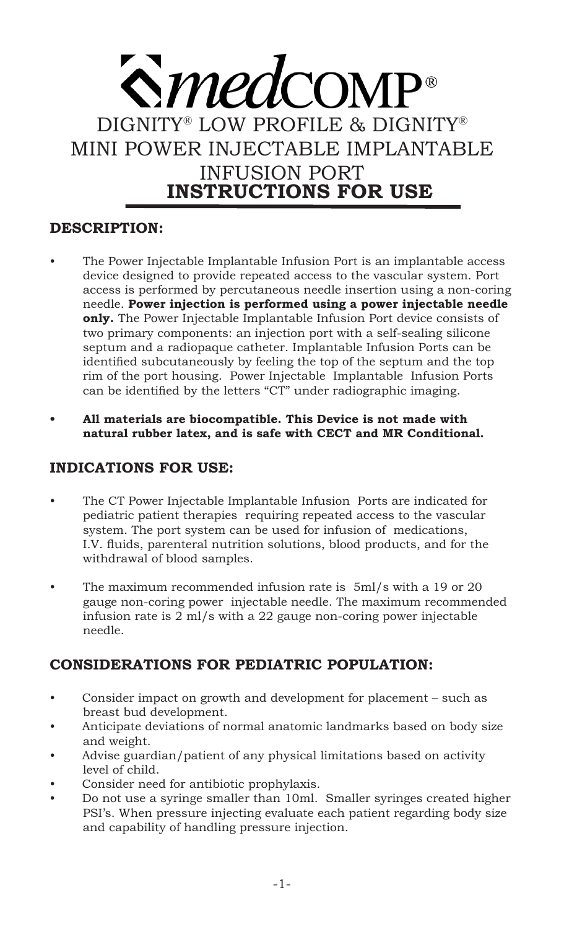# $\mathbf{\hat{\mathbf{S}}}$ *med* comp DIGNITY® LOW PROFILE & DIGNITY® MINI POWER INJECTABLE IMPLANTABLE INFUSION PORT **INSTRUCTIONS FOR USE**

# **DESCRIPTION:**

- The Power Injectable Implantable Infusion Port is an implantable access device designed to provide repeated access to the vascular system. Port access is performed by percutaneous needle insertion using a non-coring needle. **Power injection is performed using a power injectable needle only.** The Power Injectable Implantable Infusion Port device consists of two primary components: an injection port with a self-sealing silicone septum and a radiopaque catheter. Implantable Infusion Ports can be identified subcutaneously by feeling the top of the septum and the top rim of the port housing. Power Injectable Implantable Infusion Ports can be identified by the letters "CT" under radiographic imaging.
- **• All materials are biocompatible. This Device is not made with natural rubber latex, and is safe with CECT and MR Conditional.**

# **INDICATIONS FOR USE:**

- The CT Power Injectable Implantable Infusion Ports are indicated for pediatric patient therapies requiring repeated access to the vascular system. The port system can be used for infusion of medications, I.V. fluids, parenteral nutrition solutions, blood products, and for the withdrawal of blood samples.
- The maximum recommended infusion rate is 5ml/s with a 19 or 20 gauge non-coring power injectable needle. The maximum recommended infusion rate is 2 ml/s with a 22 gauge non-coring power injectable needle.

# **CONSIDERATIONS FOR PEDIATRIC POPULATION:**

- Consider impact on growth and development for placement such as breast bud development.
- Anticipate deviations of normal anatomic landmarks based on body size and weight.
- Advise guardian/patient of any physical limitations based on activity level of child.
- Consider need for antibiotic prophylaxis.
- Do not use a syringe smaller than 10ml. Smaller syringes created higher PSI's. When pressure injecting evaluate each patient regarding body size and capability of handling pressure injection.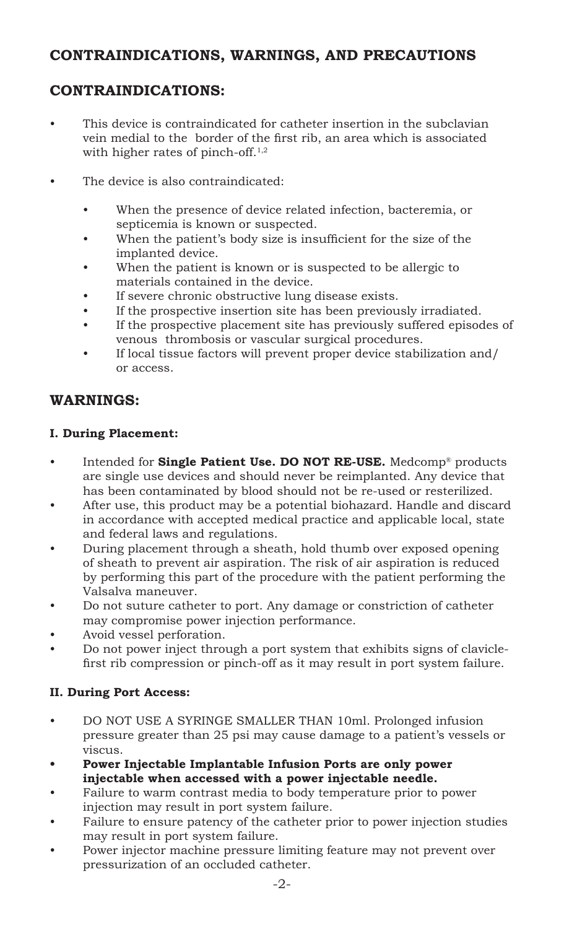# **CONTRAINDICATIONS, WARNINGS, AND PRECAUTIONS**

# **CONTRAINDICATIONS:**

- This device is contraindicated for catheter insertion in the subclavian vein medial to the border of the first rib, an area which is associated with higher rates of pinch-off.<sup>1,2</sup>
- The device is also contraindicated:
	- When the presence of device related infection, bacteremia, or septicemia is known or suspected.
	- When the patient's body size is insufficient for the size of the implanted device.
	- When the patient is known or is suspected to be allergic to materials contained in the device.
	- If severe chronic obstructive lung disease exists.
	- If the prospective insertion site has been previously irradiated.
	- If the prospective placement site has previously suffered episodes of venous thrombosis or vascular surgical procedures.
	- If local tissue factors will prevent proper device stabilization and/ or access.

# **WARNINGS:**

#### **I. During Placement:**

- Intended for **Single Patient Use. DO NOT RE-USE.** Medcomp® products are single use devices and should never be reimplanted. Any device that has been contaminated by blood should not be re-used or resterilized.
- After use, this product may be a potential biohazard. Handle and discard in accordance with accepted medical practice and applicable local, state and federal laws and regulations.
- During placement through a sheath, hold thumb over exposed opening of sheath to prevent air aspiration. The risk of air aspiration is reduced by performing this part of the procedure with the patient performing the Valsalva maneuver.
- Do not suture catheter to port. Any damage or constriction of catheter may compromise power injection performance.
- Avoid vessel perforation.
- Do not power inject through a port system that exhibits signs of claviclefirst rib compression or pinch-off as it may result in port system failure.

# **II. During Port Access:**

- DO NOT USE A SYRINGE SMALLER THAN 10ml. Prolonged infusion pressure greater than 25 psi may cause damage to a patient's vessels or viscus.
- **• Power Injectable Implantable Infusion Ports are only power injectable when accessed with a power injectable needle.**
- Failure to warm contrast media to body temperature prior to power injection may result in port system failure.
- Failure to ensure patency of the catheter prior to power injection studies may result in port system failure.
- Power injector machine pressure limiting feature may not prevent over pressurization of an occluded catheter.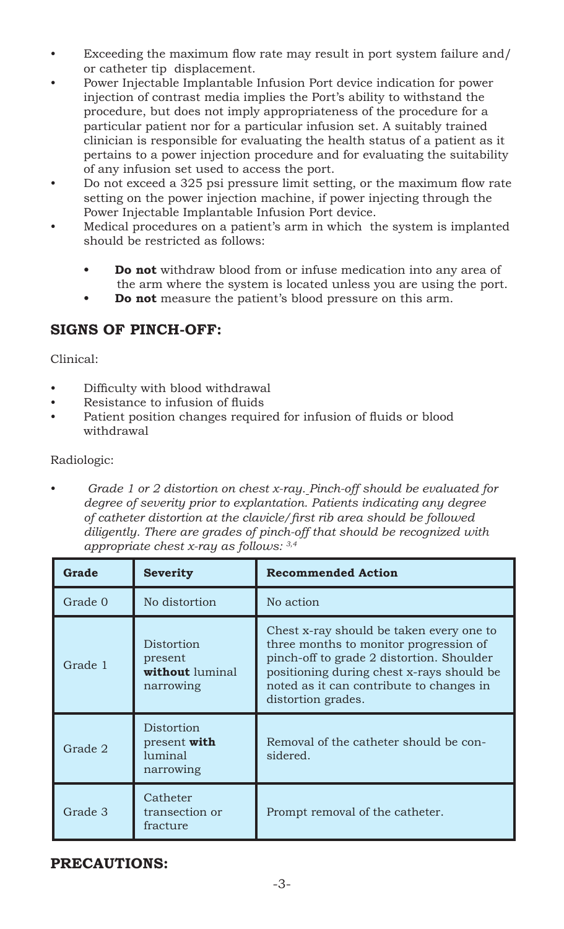- Exceeding the maximum flow rate may result in port system failure and/ or catheter tip displacement.
- Power Injectable Implantable Infusion Port device indication for power injection of contrast media implies the Port's ability to withstand the procedure, but does not imply appropriateness of the procedure for a particular patient nor for a particular infusion set. A suitably trained clinician is responsible for evaluating the health status of a patient as it pertains to a power injection procedure and for evaluating the suitability of any infusion set used to access the port.
- Do not exceed a 325 psi pressure limit setting, or the maximum flow rate setting on the power injection machine, if power injecting through the Power Injectable Implantable Infusion Port device.
- Medical procedures on a patient's arm in which the system is implanted should be restricted as follows:
	- **• Do not** withdraw blood from or infuse medication into any area of the arm where the system is located unless you are using the port.
	- **• Do not** measure the patient's blood pressure on this arm.

# **SIGNS OF PINCH-OFF:**

Clinical:

- Difficulty with blood withdrawal
- Resistance to infusion of fluids
- Patient position changes required for infusion of fluids or blood withdrawal

Radiologic:

• *Grade 1 or 2 distortion on chest x-ray. Pinch-off should be evaluated for degree of severity prior to explantation. Patients indicating any degree of catheter distortion at the clavicle/first rib area should be followed diligently. There are grades of pinch-off that should be recognized with appropriate chest x-ray as follows: 3,4* 

| Grade   | <b>Severity</b>                                       | <b>Recommended Action</b>                                                                                                                                                                                                                      |
|---------|-------------------------------------------------------|------------------------------------------------------------------------------------------------------------------------------------------------------------------------------------------------------------------------------------------------|
| Grade 0 | No distortion                                         | No action                                                                                                                                                                                                                                      |
| Grade 1 | Distortion<br>present<br>without luminal<br>narrowing | Chest x-ray should be taken every one to<br>three months to monitor progression of<br>pinch-off to grade 2 distortion. Shoulder<br>positioning during chest x-rays should be<br>noted as it can contribute to changes in<br>distortion grades. |
| Grade 2 | Distortion<br>present with<br>luminal<br>narrowing    | Removal of the catheter should be con-<br>sidered.                                                                                                                                                                                             |
| Grade 3 | Catheter<br>transection or<br>fracture                | Prompt removal of the catheter.                                                                                                                                                                                                                |

# **PRECAUTIONS:**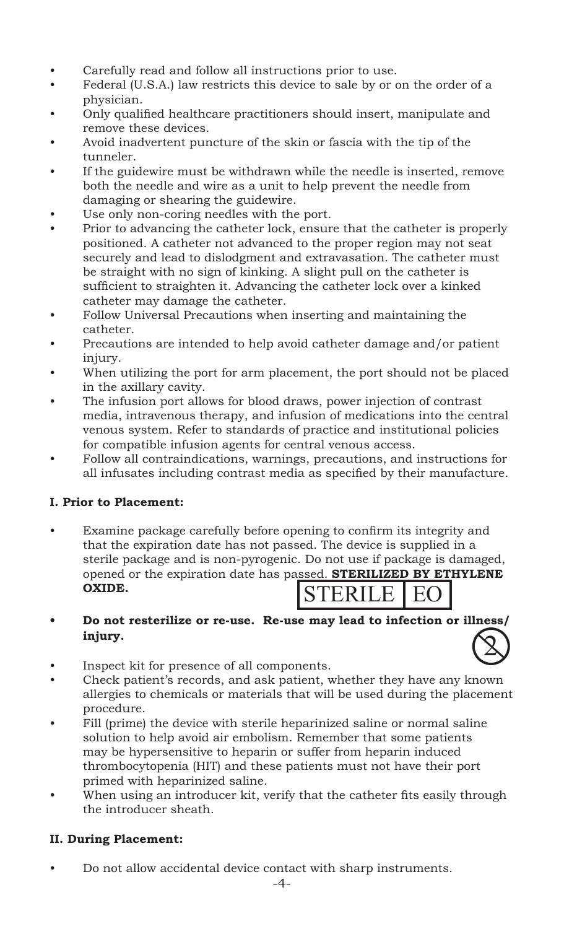- Carefully read and follow all instructions prior to use.
- Federal (U.S.A.) law restricts this device to sale by or on the order of a physician.
- Only qualified healthcare practitioners should insert, manipulate and remove these devices.
- Avoid inadvertent puncture of the skin or fascia with the tip of the tunneler.
- If the guidewire must be withdrawn while the needle is inserted, remove both the needle and wire as a unit to help prevent the needle from damaging or shearing the guidewire.
- Use only non-coring needles with the port.
- Prior to advancing the catheter lock, ensure that the catheter is properly positioned. A catheter not advanced to the proper region may not seat securely and lead to dislodgment and extravasation. The catheter must be straight with no sign of kinking. A slight pull on the catheter is sufficient to straighten it. Advancing the catheter lock over a kinked catheter may damage the catheter.
- Follow Universal Precautions when inserting and maintaining the catheter.
- Precautions are intended to help avoid catheter damage and/or patient injury.
- When utilizing the port for arm placement, the port should not be placed in the axillary cavity.
- The infusion port allows for blood draws, power injection of contrast media, intravenous therapy, and infusion of medications into the central venous system. Refer to standards of practice and institutional policies for compatible infusion agents for central venous access.
- Follow all contraindications, warnings, precautions, and instructions for all infusates including contrast media as specified by their manufacture.

# **I. Prior to Placement:**

- Examine package carefully before opening to confirm its integrity and that the expiration date has not passed. The device is supplied in a sterile package and is non-pyrogenic. Do not use if package is damaged, opened or the expiration date has passed. **STERILIZED BY ETHYLENE OXIDE.** STERILE I EO
- **• Do not resterilize or re-use. Re-use may lead to infection or illness/ injury.**   $\mathbf{2}$
- Inspect kit for presence of all components.
- Check patient's records, and ask patient, whether they have any known allergies to chemicals or materials that will be used during the placement procedure.
- Fill (prime) the device with sterile heparinized saline or normal saline solution to help avoid air embolism. Remember that some patients may be hypersensitive to heparin or suffer from heparin induced thrombocytopenia (HIT) and these patients must not have their port primed with heparinized saline.
- When using an introducer kit, verify that the catheter fits easily through the introducer sheath.

# **II. During Placement:**

• Do not allow accidental device contact with sharp instruments.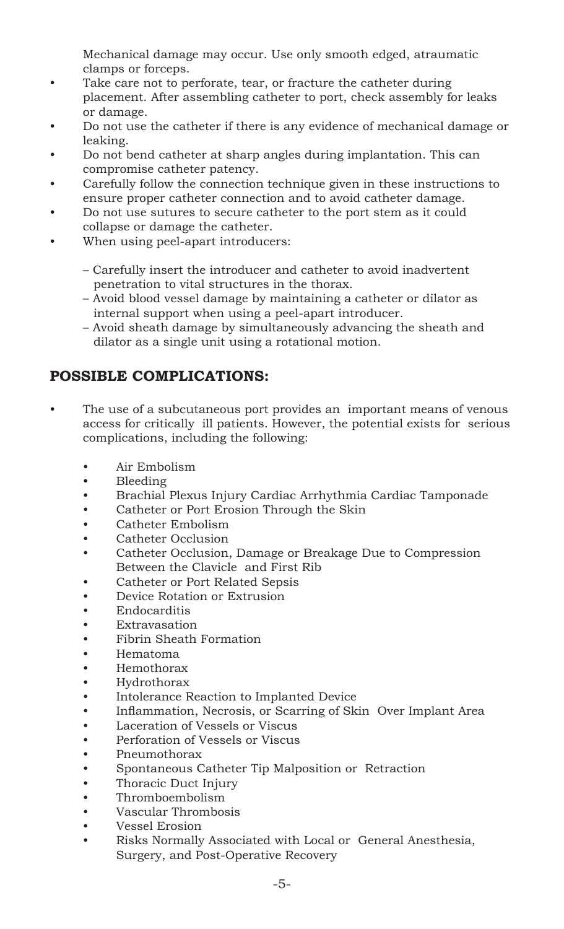Mechanical damage may occur. Use only smooth edged, atraumatic clamps or forceps.

- Take care not to perforate, tear, or fracture the catheter during placement. After assembling catheter to port, check assembly for leaks or damage.
- Do not use the catheter if there is any evidence of mechanical damage or leaking.
- Do not bend catheter at sharp angles during implantation. This can compromise catheter patency.
- Carefully follow the connection technique given in these instructions to ensure proper catheter connection and to avoid catheter damage.
- Do not use sutures to secure catheter to the port stem as it could collapse or damage the catheter.
- When using peel-apart introducers:
	- Carefully insert the introducer and catheter to avoid inadvertent penetration to vital structures in the thorax.
	- Avoid blood vessel damage by maintaining a catheter or dilator as internal support when using a peel-apart introducer.
	- Avoid sheath damage by simultaneously advancing the sheath and dilator as a single unit using a rotational motion.

# **POSSIBLE COMPLICATIONS:**

- The use of a subcutaneous port provides an important means of venous access for critically ill patients. However, the potential exists for serious complications, including the following:
	- Air Embolism
	- Bleeding
	- Brachial Plexus Injury Cardiac Arrhythmia Cardiac Tamponade
	- Catheter or Port Erosion Through the Skin
	- Catheter Embolism
	- Catheter Occlusion
	- Catheter Occlusion, Damage or Breakage Due to Compression Between the Clavicle and First Rib
	- Catheter or Port Related Sepsis
	- Device Rotation or Extrusion
	- Endocarditis
	- Extravasation<br>• Fibrin Sheath
	- Fibrin Sheath Formation
	- Hematoma
	- Hemothorax
	- Hydrothorax
	- Intolerance Reaction to Implanted Device<br>• Inflammation, Necrosis, or Scarring of Sk
	- Inflammation, Necrosis, or Scarring of Skin Over Implant Area
	- Laceration of Vessels or Viscus
	- Perforation of Vessels or Viscus
	- Pneumothorax
	- Spontaneous Catheter Tip Malposition or Retraction<br>• Thoracic Duct Injury
	- Thoracic Duct Injury
	- Thromboembolism
	- Vascular Thrombosis
	- Vessel Erosion
	- Risks Normally Associated with Local or General Anesthesia, Surgery, and Post-Operative Recovery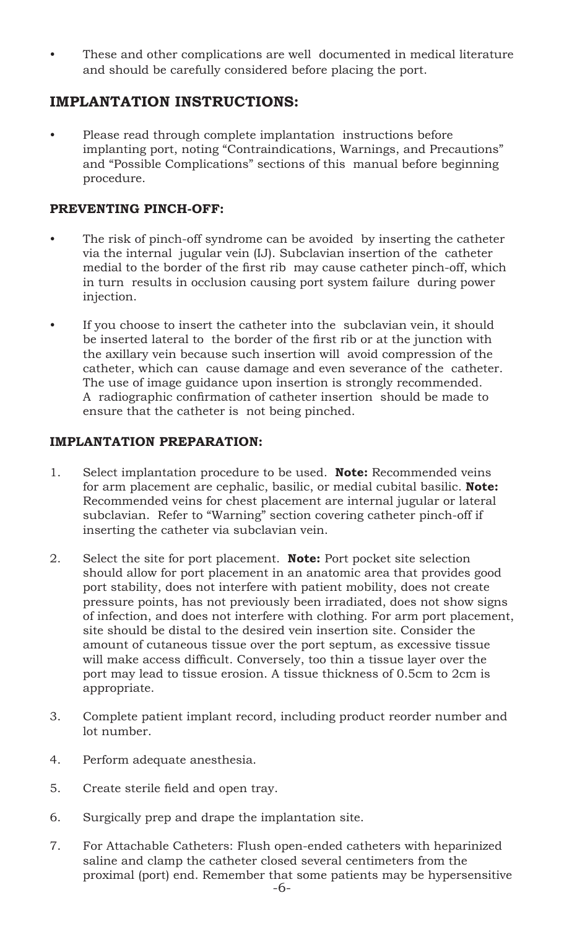These and other complications are well documented in medical literature and should be carefully considered before placing the port.

# **IMPLANTATION INSTRUCTIONS:**

• Please read through complete implantation instructions before implanting port, noting "Contraindications, Warnings, and Precautions" and "Possible Complications" sections of this manual before beginning procedure.

# **PREVENTING PINCH-OFF:**

- The risk of pinch-off syndrome can be avoided by inserting the catheter via the internal jugular vein (IJ). Subclavian insertion of the catheter medial to the border of the first rib may cause catheter pinch-off, which in turn results in occlusion causing port system failure during power injection.
- If you choose to insert the catheter into the subclavian vein, it should be inserted lateral to the border of the first rib or at the junction with the axillary vein because such insertion will avoid compression of the catheter, which can cause damage and even severance of the catheter. The use of image guidance upon insertion is strongly recommended. A radiographic confirmation of catheter insertion should be made to ensure that the catheter is not being pinched.

# **IMPLANTATION PREPARATION:**

- 1. Select implantation procedure to be used. **Note:** Recommended veins for arm placement are cephalic, basilic, or medial cubital basilic. **Note:** Recommended veins for chest placement are internal jugular or lateral subclavian. Refer to "Warning" section covering catheter pinch-off if inserting the catheter via subclavian vein.
- 2. Select the site for port placement. **Note:** Port pocket site selection should allow for port placement in an anatomic area that provides good port stability, does not interfere with patient mobility, does not create pressure points, has not previously been irradiated, does not show signs of infection, and does not interfere with clothing. For arm port placement, site should be distal to the desired vein insertion site. Consider the amount of cutaneous tissue over the port septum, as excessive tissue will make access difficult. Conversely, too thin a tissue layer over the port may lead to tissue erosion. A tissue thickness of 0.5cm to 2cm is appropriate.
- 3. Complete patient implant record, including product reorder number and lot number.
- 4. Perform adequate anesthesia.
- 5. Create sterile field and open tray.
- 6. Surgically prep and drape the implantation site.
- 7. For Attachable Catheters: Flush open-ended catheters with heparinized saline and clamp the catheter closed several centimeters from the proximal (port) end. Remember that some patients may be hypersensitive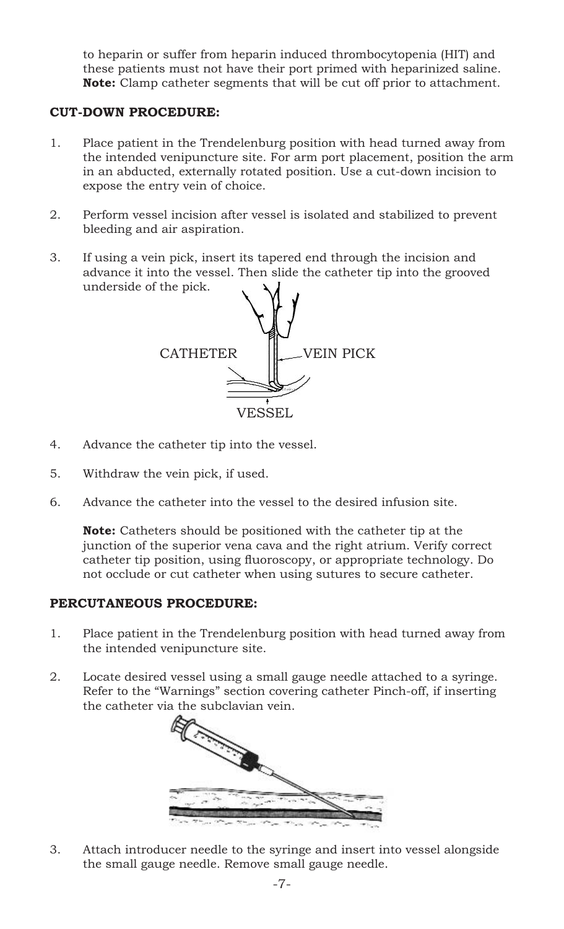to heparin or suffer from heparin induced thrombocytopenia (HIT) and these patients must not have their port primed with heparinized saline. **Note:** Clamp catheter segments that will be cut off prior to attachment.

# **CUT-DOWN PROCEDURE:**

- 1. Place patient in the Trendelenburg position with head turned away from the intended venipuncture site. For arm port placement, position the arm in an abducted, externally rotated position. Use a cut-down incision to expose the entry vein of choice.
- 2. Perform vessel incision after vessel is isolated and stabilized to prevent bleeding and air aspiration.
- 3. If using a vein pick, insert its tapered end through the incision and advance it into the vessel. Then slide the catheter tip into the grooved underside of the pick.



- 4. Advance the catheter tip into the vessel.
- 5. Withdraw the vein pick, if used.
- 6. Advance the catheter into the vessel to the desired infusion site.

**Note:** Catheters should be positioned with the catheter tip at the junction of the superior vena cava and the right atrium. Verify correct catheter tip position, using fluoroscopy, or appropriate technology. Do not occlude or cut catheter when using sutures to secure catheter.

#### **PERCUTANEOUS PROCEDURE:**

- 1. Place patient in the Trendelenburg position with head turned away from the intended venipuncture site.
- 2. Locate desired vessel using a small gauge needle attached to a syringe. Refer to the "Warnings" section covering catheter Pinch-off, if inserting the catheter via the subclavian vein.



3. Attach introducer needle to the syringe and insert into vessel alongside the small gauge needle. Remove small gauge needle.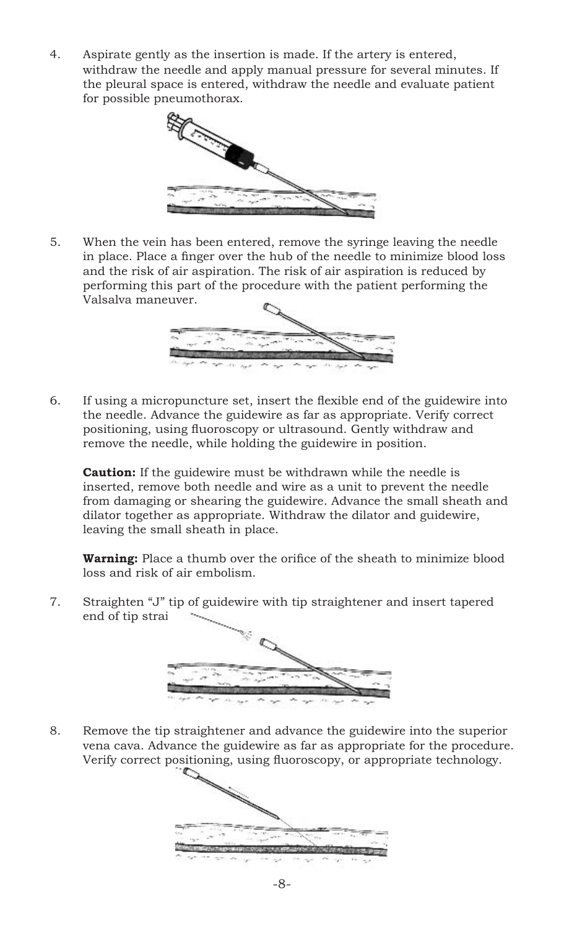4. Aspirate gently as the insertion is made. If the artery is entered, withdraw the needle and apply manual pressure for several minutes. If the pleural space is entered, withdraw the needle and evaluate patient for possible pneumothorax.



5. When the vein has been entered, remove the syringe leaving the needle in place. Place a finger over the hub of the needle to minimize blood loss and the risk of air aspiration. The risk of air aspiration is reduced by performing this part of the procedure with the patient performing the Valsalva maneuver.



6. If using a micropuncture set, insert the flexible end of the guidewire into the needle. Advance the guidewire as far as appropriate. Verify correct positioning, using fluoroscopy or ultrasound. Gently withdraw and remove the needle, while holding the guidewire in position.

**Caution:** If the guidewire must be withdrawn while the needle is inserted, remove both needle and wire as a unit to prevent the needle from damaging or shearing the guidewire. Advance the small sheath and dilator together as appropriate. Withdraw the dilator and guidewire, leaving the small sheath in place.

**Warning:** Place a thumb over the orifice of the sheath to minimize blood loss and risk of air embolism.

7. Straighten "J" tip of guidewire with tip straightener and insert tapered end of tip strai



8. Remove the tip straightener and advance the guidewire into the superior vena cava. Advance the guidewire as far as appropriate for the procedure. Verify correct positioning, using fluoroscopy, or appropriate technology.

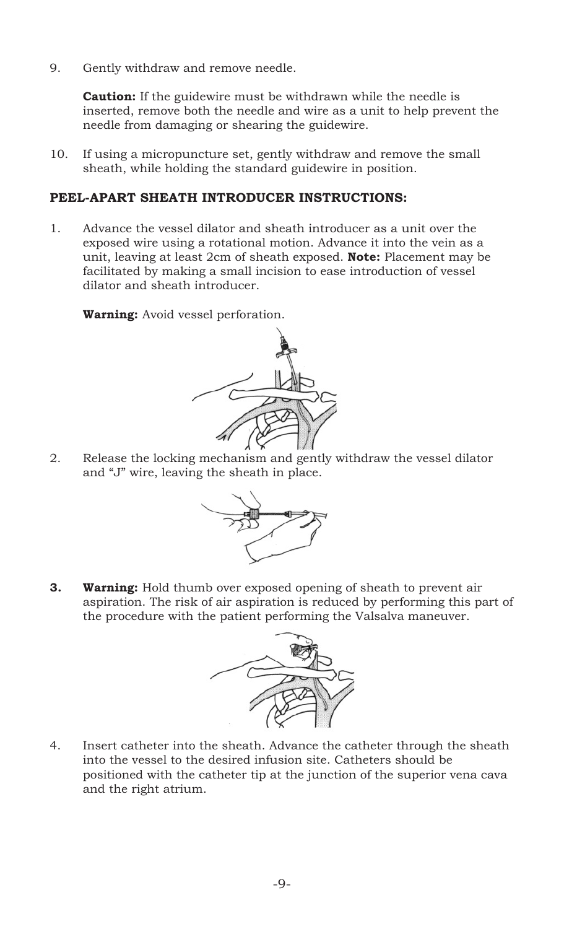9. Gently withdraw and remove needle.

**Caution:** If the guidewire must be withdrawn while the needle is inserted, remove both the needle and wire as a unit to help prevent the needle from damaging or shearing the guidewire.

10. If using a micropuncture set, gently withdraw and remove the small sheath, while holding the standard guidewire in position.

## **PEEL-APART SHEATH INTRODUCER INSTRUCTIONS:**

1. Advance the vessel dilator and sheath introducer as a unit over the exposed wire using a rotational motion. Advance it into the vein as a unit, leaving at least 2cm of sheath exposed. **Note:** Placement may be facilitated by making a small incision to ease introduction of vessel dilator and sheath introducer.

**Warning:** Avoid vessel perforation.



2. Release the locking mechanism and gently withdraw the vessel dilator and "J" wire, leaving the sheath in place.



**3. Warning:** Hold thumb over exposed opening of sheath to prevent air aspiration. The risk of air aspiration is reduced by performing this part of the procedure with the patient performing the Valsalva maneuver.



4. Insert catheter into the sheath. Advance the catheter through the sheath into the vessel to the desired infusion site. Catheters should be positioned with the catheter tip at the junction of the superior vena cava and the right atrium.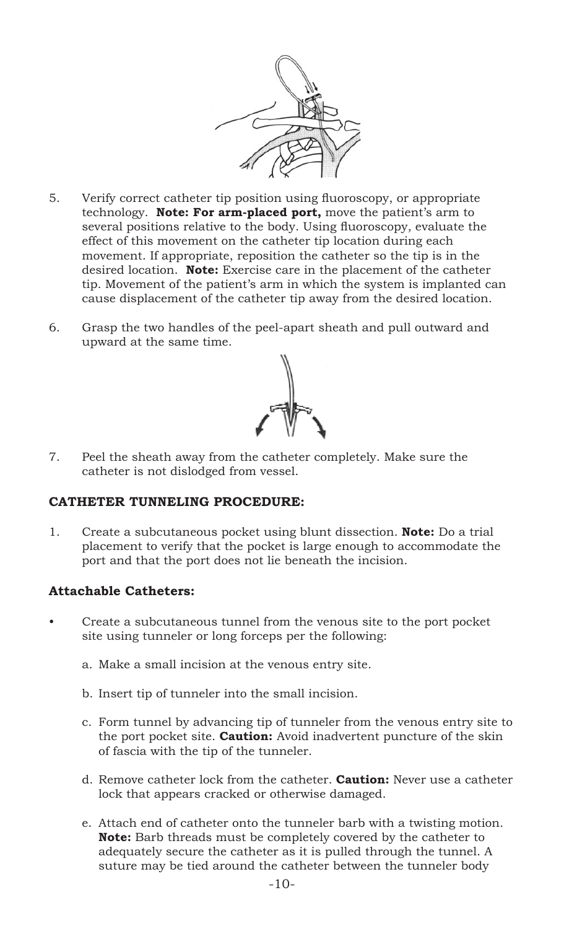

- 5. Verify correct catheter tip position using fluoroscopy, or appropriate technology. **Note: For arm-placed port,** move the patient's arm to several positions relative to the body. Using fluoroscopy, evaluate the effect of this movement on the catheter tip location during each movement. If appropriate, reposition the catheter so the tip is in the desired location. **Note:** Exercise care in the placement of the catheter tip. Movement of the patient's arm in which the system is implanted can cause displacement of the catheter tip away from the desired location.
- 6. Grasp the two handles of the peel-apart sheath and pull outward and upward at the same time.



7. Peel the sheath away from the catheter completely. Make sure the catheter is not dislodged from vessel.

#### **CATHETER TUNNELING PROCEDURE:**

1. Create a subcutaneous pocket using blunt dissection. **Note:** Do a trial placement to verify that the pocket is large enough to accommodate the port and that the port does not lie beneath the incision.

# **Attachable Catheters:**

- Create a subcutaneous tunnel from the venous site to the port pocket site using tunneler or long forceps per the following:
	- a. Make a small incision at the venous entry site.
	- b. Insert tip of tunneler into the small incision.
	- c. Form tunnel by advancing tip of tunneler from the venous entry site to the port pocket site. **Caution:** Avoid inadvertent puncture of the skin of fascia with the tip of the tunneler.
	- d. Remove catheter lock from the catheter. **Caution:** Never use a catheter lock that appears cracked or otherwise damaged.
	- e. Attach end of catheter onto the tunneler barb with a twisting motion. **Note:** Barb threads must be completely covered by the catheter to adequately secure the catheter as it is pulled through the tunnel. A suture may be tied around the catheter between the tunneler body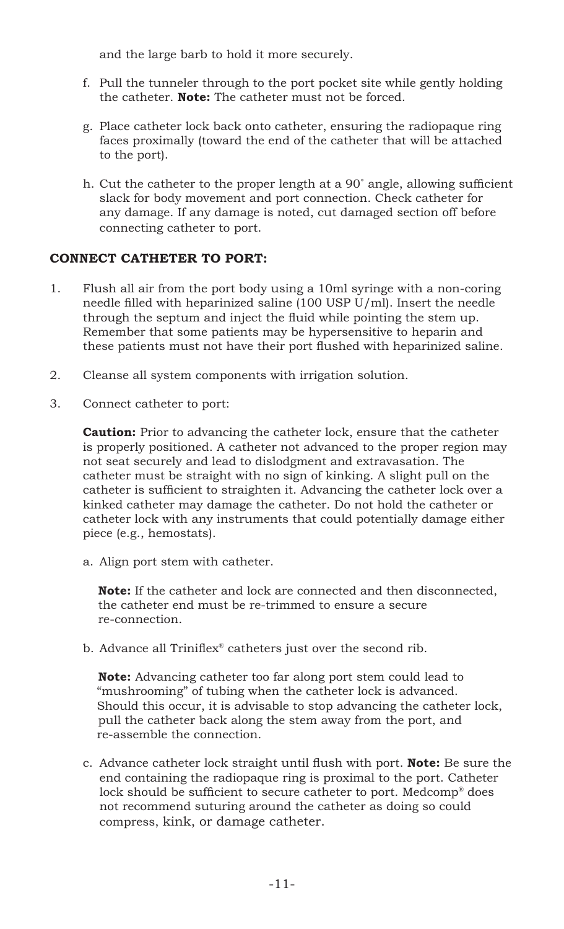and the large barb to hold it more securely.

- f. Pull the tunneler through to the port pocket site while gently holding the catheter. **Note:** The catheter must not be forced.
- g. Place catheter lock back onto catheter, ensuring the radiopaque ring faces proximally (toward the end of the catheter that will be attached to the port).
- h. Cut the catheter to the proper length at a 90˚ angle, allowing sufficient slack for body movement and port connection. Check catheter for any damage. If any damage is noted, cut damaged section off before connecting catheter to port.

# **CONNECT CATHETER TO PORT:**

- 1. Flush all air from the port body using a 10ml syringe with a non-coring needle filled with heparinized saline (100 USP U/ml). Insert the needle through the septum and inject the fluid while pointing the stem up. Remember that some patients may be hypersensitive to heparin and these patients must not have their port flushed with heparinized saline.
- 2. Cleanse all system components with irrigation solution.
- 3. Connect catheter to port:

**Caution:** Prior to advancing the catheter lock, ensure that the catheter is properly positioned. A catheter not advanced to the proper region may not seat securely and lead to dislodgment and extravasation. The catheter must be straight with no sign of kinking. A slight pull on the catheter is sufficient to straighten it. Advancing the catheter lock over a kinked catheter may damage the catheter. Do not hold the catheter or catheter lock with any instruments that could potentially damage either piece (e.g., hemostats).

a. Align port stem with catheter.

 **Note:** If the catheter and lock are connected and then disconnected, the catheter end must be re-trimmed to ensure a secure re-connection.

b. Advance all Triniflex® catheters just over the second rib.

 **Note:** Advancing catheter too far along port stem could lead to "mushrooming" of tubing when the catheter lock is advanced. Should this occur, it is advisable to stop advancing the catheter lock, pull the catheter back along the stem away from the port, and re-assemble the connection.

c. Advance catheter lock straight until flush with port. **Note:** Be sure the end containing the radiopaque ring is proximal to the port. Catheter lock should be sufficient to secure catheter to port. Medcomp® does not recommend suturing around the catheter as doing so could compress, kink, or damage catheter.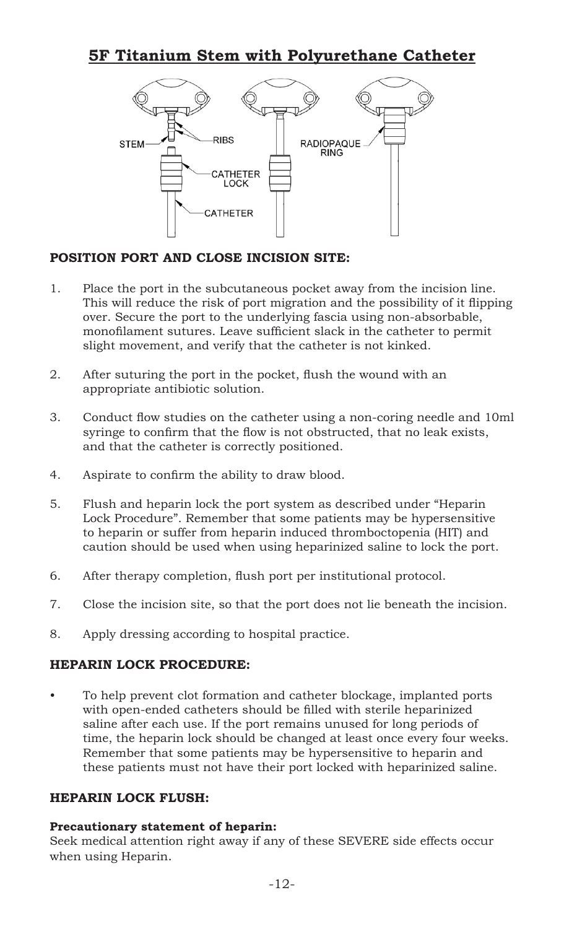# **5F Titanium Stem with Polyurethane Catheter**



# **POSITION PORT AND CLOSE INCISION SITE:**

- 1. Place the port in the subcutaneous pocket away from the incision line. This will reduce the risk of port migration and the possibility of it flipping over. Secure the port to the underlying fascia using non-absorbable, monofilament sutures. Leave sufficient slack in the catheter to permit slight movement, and verify that the catheter is not kinked.
- 2. After suturing the port in the pocket, flush the wound with an appropriate antibiotic solution.
- 3. Conduct flow studies on the catheter using a non-coring needle and 10ml syringe to confirm that the flow is not obstructed, that no leak exists, and that the catheter is correctly positioned.
- 4. Aspirate to confirm the ability to draw blood.
- 5. Flush and heparin lock the port system as described under "Heparin Lock Procedure". Remember that some patients may be hypersensitive to heparin or suffer from heparin induced thromboctopenia (HIT) and caution should be used when using heparinized saline to lock the port.
- 6. After therapy completion, flush port per institutional protocol.
- 7. Close the incision site, so that the port does not lie beneath the incision.
- 8. Apply dressing according to hospital practice.

# **HEPARIN LOCK PROCEDURE:**

• To help prevent clot formation and catheter blockage, implanted ports with open-ended catheters should be filled with sterile heparinized saline after each use. If the port remains unused for long periods of time, the heparin lock should be changed at least once every four weeks. Remember that some patients may be hypersensitive to heparin and these patients must not have their port locked with heparinized saline.

# **HEPARIN LOCK FLUSH:**

#### **Precautionary statement of heparin:**

Seek medical attention right away if any of these SEVERE side effects occur when using Heparin.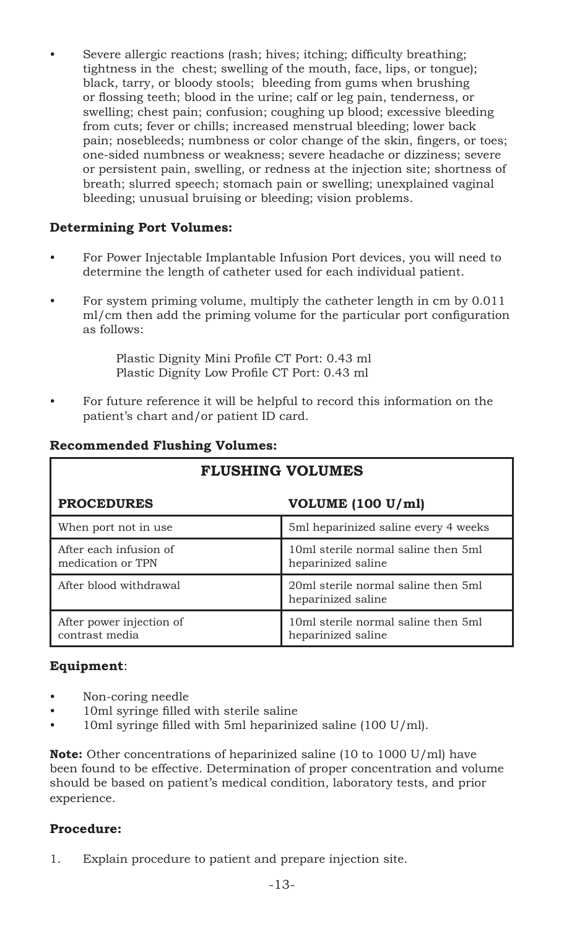• Severe allergic reactions (rash; hives; itching; difficulty breathing; tightness in the chest; swelling of the mouth, face, lips, or tongue); black, tarry, or bloody stools; bleeding from gums when brushing or flossing teeth; blood in the urine; calf or leg pain, tenderness, or swelling; chest pain; confusion; coughing up blood; excessive bleeding from cuts; fever or chills; increased menstrual bleeding; lower back pain; nosebleeds; numbness or color change of the skin, fingers, or toes; one-sided numbness or weakness; severe headache or dizziness; severe or persistent pain, swelling, or redness at the injection site; shortness of breath; slurred speech; stomach pain or swelling; unexplained vaginal bleeding; unusual bruising or bleeding; vision problems.

# **Determining Port Volumes:**

- For Power Injectable Implantable Infusion Port devices, you will need to determine the length of catheter used for each individual patient.
- For system priming volume, multiply the catheter length in cm by 0.011 ml/cm then add the priming volume for the particular port configuration as follows:

Plastic Dignity Mini Profile CT Port: 0.43 ml Plastic Dignity Low Profile CT Port: 0.43 ml

• For future reference it will be helpful to record this information on the patient's chart and/or patient ID card.

| <b>FLUSHING VOLUMES</b>                     |                                                           |  |  |  |  |
|---------------------------------------------|-----------------------------------------------------------|--|--|--|--|
| <b>PROCEDURES</b>                           | VOLUME (100 U/ml)                                         |  |  |  |  |
| When port not in use                        | 5ml heparinized saline every 4 weeks                      |  |  |  |  |
| After each infusion of<br>medication or TPN | 10ml sterile normal saline then 5ml<br>heparinized saline |  |  |  |  |
| After blood withdrawal                      | 20ml sterile normal saline then 5ml<br>heparinized saline |  |  |  |  |
| After power injection of<br>contrast media  | 10ml sterile normal saline then 5ml<br>heparinized saline |  |  |  |  |

#### **Recommended Flushing Volumes:**

# **Equipment**:

- Non-coring needle
- 10ml syringe filled with sterile saline
- 10ml syringe filled with 5ml heparinized saline (100 U/ml).

**Note:** Other concentrations of heparinized saline (10 to 1000 U/ml) have been found to be effective. Determination of proper concentration and volume should be based on patient's medical condition, laboratory tests, and prior experience.

# **Procedure:**

1. Explain procedure to patient and prepare injection site.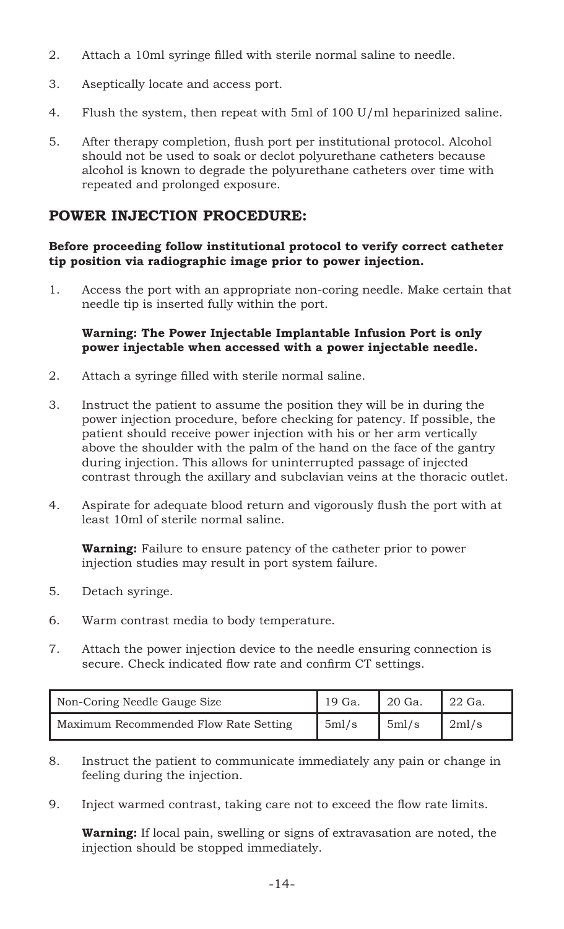- 2. Attach a 10ml syringe filled with sterile normal saline to needle.
- 3. Aseptically locate and access port.
- 4. Flush the system, then repeat with 5ml of 100 U/ml heparinized saline.
- 5. After therapy completion, flush port per institutional protocol. Alcohol should not be used to soak or declot polyurethane catheters because alcohol is known to degrade the polyurethane catheters over time with repeated and prolonged exposure.

# **POWER INJECTION PROCEDURE:**

# **Before proceeding follow institutional protocol to verify correct catheter tip position via radiographic image prior to power injection.**

1. Access the port with an appropriate non-coring needle. Make certain that needle tip is inserted fully within the port.

#### **Warning: The Power Injectable Implantable Infusion Port is only power injectable when accessed with a power injectable needle.**

- 2. Attach a syringe filled with sterile normal saline.
- 3. Instruct the patient to assume the position they will be in during the power injection procedure, before checking for patency. If possible, the patient should receive power injection with his or her arm vertically above the shoulder with the palm of the hand on the face of the gantry during injection. This allows for uninterrupted passage of injected contrast through the axillary and subclavian veins at the thoracic outlet.
- 4. Aspirate for adequate blood return and vigorously flush the port with at least 10ml of sterile normal saline.

**Warning:** Failure to ensure patency of the catheter prior to power injection studies may result in port system failure.

- 5. Detach syringe.
- 6. Warm contrast media to body temperature.
- 7. Attach the power injection device to the needle ensuring connection is secure. Check indicated flow rate and confirm CT settings.

| Non-Coring Needle Gauge Size          | 19 Ga. | $^{\prime}$ 20 Ga. | 22 Ga. |
|---------------------------------------|--------|--------------------|--------|
| Maximum Recommended Flow Rate Setting | 5ml/s  | 5ml/s              | 2ml/s  |

- 8. Instruct the patient to communicate immediately any pain or change in feeling during the injection.
- 9. Inject warmed contrast, taking care not to exceed the flow rate limits.

**Warning:** If local pain, swelling or signs of extravasation are noted, the injection should be stopped immediately.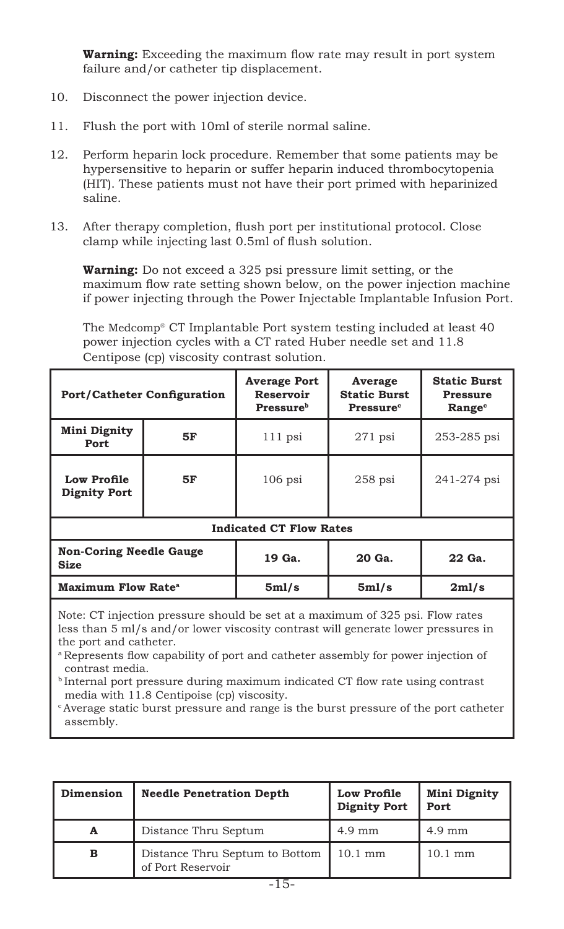**Warning:** Exceeding the maximum flow rate may result in port system failure and/or catheter tip displacement.

- 10. Disconnect the power injection device.
- 11. Flush the port with 10ml of sterile normal saline.
- 12. Perform heparin lock procedure. Remember that some patients may be hypersensitive to heparin or suffer heparin induced thrombocytopenia (HIT). These patients must not have their port primed with heparinized saline.
- 13. After therapy completion, flush port per institutional protocol. Close clamp while injecting last 0.5ml of flush solution.

**Warning:** Do not exceed a 325 psi pressure limit setting, or the maximum flow rate setting shown below, on the power injection machine if power injecting through the Power Injectable Implantable Infusion Port.

The Medcomp® CT Implantable Port system testing included at least 40 power injection cycles with a CT rated Huber needle set and 11.8 Centipose (cp) viscosity contrast solution.

| <b>Port/Catheter Configuration</b>                                                                                                                                 |    | <b>Average Port</b><br>Reservoir<br><b>Pressure</b> <sup>b</sup> | Average<br><b>Static Burst</b><br>Pressure <sup>c</sup> | <b>Static Burst</b><br>Pressure<br>Range <sup>c</sup> |  |
|--------------------------------------------------------------------------------------------------------------------------------------------------------------------|----|------------------------------------------------------------------|---------------------------------------------------------|-------------------------------------------------------|--|
| Mini Dignity<br>Port                                                                                                                                               | 5F | $111$ psi                                                        | $271$ psi                                               | 253-285 psi                                           |  |
| Low Profile<br><b>Dignity Port</b>                                                                                                                                 | 5F | $106$ psi                                                        | $258$ psi                                               | 241-274 psi                                           |  |
| <b>Indicated CT Flow Rates</b>                                                                                                                                     |    |                                                                  |                                                         |                                                       |  |
| <b>Non-Coring Needle Gauge</b><br>Size                                                                                                                             |    | 19 Ga.                                                           | 20 Ga.                                                  | 22 Ga.                                                |  |
| Maximum Flow Rate <sup>a</sup>                                                                                                                                     |    | 5 <sub>m1/s</sub>                                                | 5ml/s                                                   | 2ml/s                                                 |  |
| Note: CT injection pressure should be set at a maximum of 325 psi. Flow rates<br>less than 5 ml/s and/or lower viscosity contrast will generate lower pressures in |    |                                                                  |                                                         |                                                       |  |

the port and catheter. <sup>a</sup>Represents flow capability of port and catheter assembly for power injection of contrast media.

**b**Internal port pressure during maximum indicated CT flow rate using contrast media with 11.8 Centipoise (cp) viscosity.

c Average static burst pressure and range is the burst pressure of the port catheter assembly.

| Dimension | <b>Needle Penetration Depth</b>                     | <b>Low Profile</b><br><b>Dignity Port</b> | <b>Mini Dignity</b><br>Port |
|-----------|-----------------------------------------------------|-------------------------------------------|-----------------------------|
| A         | Distance Thru Septum                                | 4.9 mm                                    | $4.9 \text{ mm}$            |
| в         | Distance Thru Septum to Bottom<br>of Port Reservoir | $10.1 \text{ mm}$                         | $10.1 \text{ mm}$           |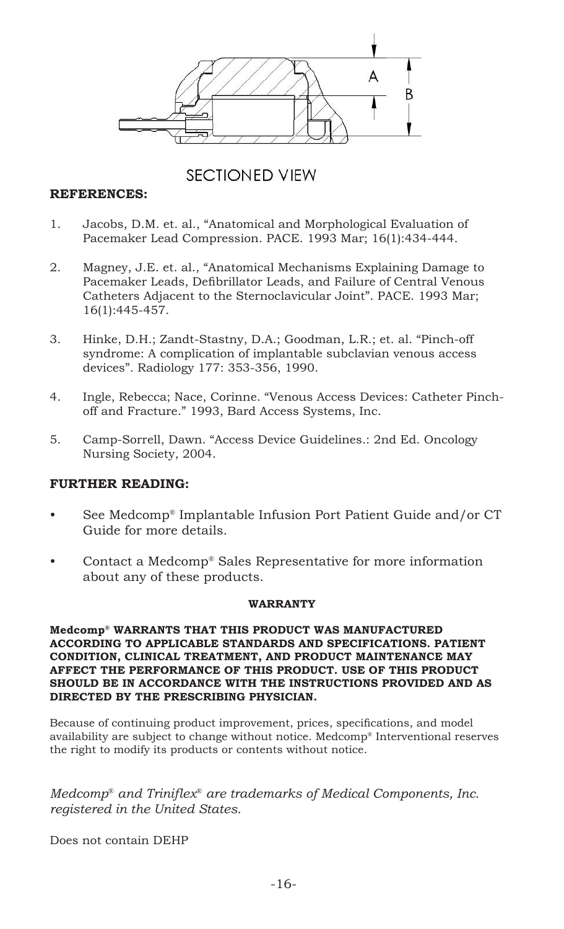

# **SECTIONED VIEW**

## **REFERENCES:**

- 1. Jacobs, D.M. et. al., "Anatomical and Morphological Evaluation of Pacemaker Lead Compression. PACE. 1993 Mar; 16(1):434-444.
- 2. Magney, J.E. et. al., "Anatomical Mechanisms Explaining Damage to Pacemaker Leads, Defibrillator Leads, and Failure of Central Venous Catheters Adjacent to the Sternoclavicular Joint". PACE. 1993 Mar; 16(1):445-457.
- 3. Hinke, D.H.; Zandt-Stastny, D.A.; Goodman, L.R.; et. al. "Pinch-off syndrome: A complication of implantable subclavian venous access devices". Radiology 177: 353-356, 1990.
- 4. Ingle, Rebecca; Nace, Corinne. "Venous Access Devices: Catheter Pinchoff and Fracture." 1993, Bard Access Systems, Inc.
- 5. Camp-Sorrell, Dawn. "Access Device Guidelines.: 2nd Ed. Oncology Nursing Society, 2004.

#### **FURTHER READING:**

- See Medcomp® Implantable Infusion Port Patient Guide and/or CT Guide for more details.
- Contact a Medcomp® Sales Representative for more information about any of these products.

#### **WARRANTY**

#### **Medcomp® WARRANTS THAT THIS PRODUCT WAS MANUFACTURED ACCORDING TO APPLICABLE STANDARDS AND SPECIFICATIONS. PATIENT CONDITION, CLINICAL TREATMENT, AND PRODUCT MAINTENANCE MAY AFFECT THE PERFORMANCE OF THIS PRODUCT. USE OF THIS PRODUCT SHOULD BE IN ACCORDANCE WITH THE INSTRUCTIONS PROVIDED AND AS DIRECTED BY THE PRESCRIBING PHYSICIAN.**

Because of continuing product improvement, prices, specifications, and model availability are subject to change without notice. Medcomp® Interventional reserves the right to modify its products or contents without notice.

*Medcomp® and Triniflex® are trademarks of Medical Components, Inc. registered in the United States.*

Does not contain DEHP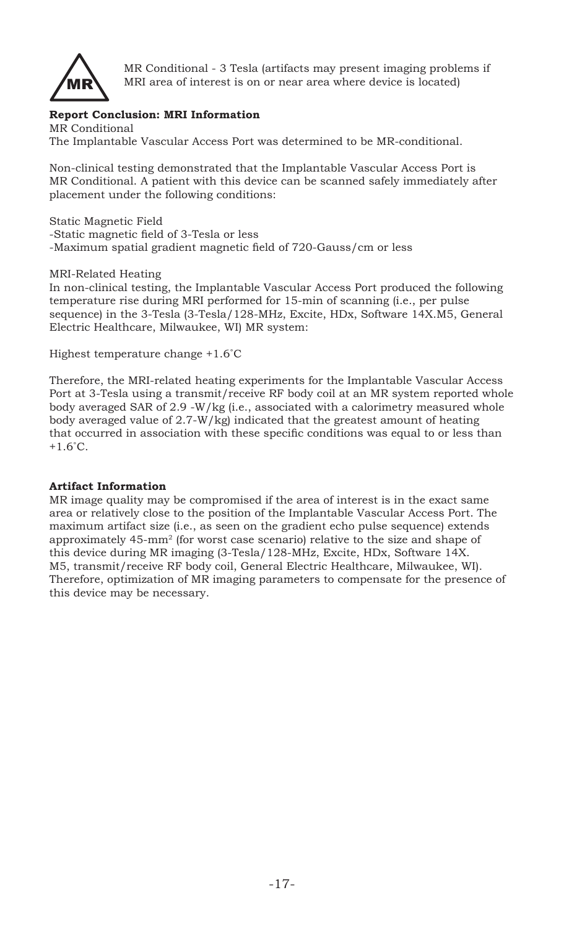

MR Conditional - 3 Tesla (artifacts may present imaging problems if MRI area of interest is on or near area where device is located)

# **Report Conclusion: MRI Information**

MR Conditional The Implantable Vascular Access Port was determined to be MR-conditional.

Non-clinical testing demonstrated that the Implantable Vascular Access Port is MR Conditional. A patient with this device can be scanned safely immediately after placement under the following conditions:

Static Magnetic Field -Static magnetic field of 3-Tesla or less -Maximum spatial gradient magnetic field of 720-Gauss/cm or less

#### MRI-Related Heating

In non-clinical testing, the Implantable Vascular Access Port produced the following temperature rise during MRI performed for 15-min of scanning (i.e., per pulse sequence) in the 3-Tesla (3-Tesla/128-MHz, Excite, HDx, Software 14X.M5, General Electric Healthcare, Milwaukee, WI) MR system:

Highest temperature change +1.6˚C

Therefore, the MRI-related heating experiments for the Implantable Vascular Access Port at 3-Tesla using a transmit/receive RF body coil at an MR system reported whole body averaged SAR of 2.9 -W/kg (i.e., associated with a calorimetry measured whole body averaged value of 2.7-W/kg) indicated that the greatest amount of heating that occurred in association with these specific conditions was equal to or less than  $+1.6^{\circ}$ C.

#### **Artifact Information**

MR image quality may be compromised if the area of interest is in the exact same area or relatively close to the position of the Implantable Vascular Access Port. The maximum artifact size (i.e., as seen on the gradient echo pulse sequence) extends approximately 45-mm2 (for worst case scenario) relative to the size and shape of this device during MR imaging (3-Tesla/128-MHz, Excite, HDx, Software 14X. M5, transmit/receive RF body coil, General Electric Healthcare, Milwaukee, WI). Therefore, optimization of MR imaging parameters to compensate for the presence of this device may be necessary.